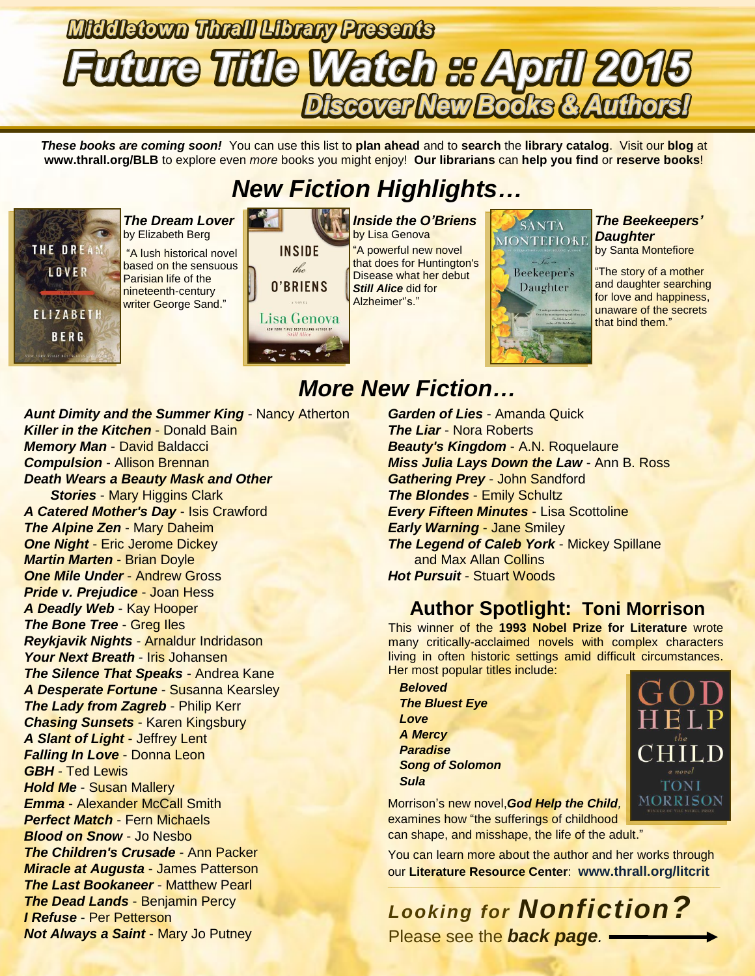# **Middletown Thrall Library Presents Future Title Watch & April 2015** Discover New Books & Authors!

*These books are coming soon!* You can use this list to **plan ahead** and to **search** the **library catalog**. Visit our **blog** at **www.thrall.org/BLB** to explore even *more* books you might enjoy! **Our librarians** can **help you find** or **reserve books**!

# *New Fiction Highlights…*



*The Dream Lover* by Elizabeth Berg "A lush historical novel

based on the sensuous Parisian life of the nineteenth-century writer George Sand."



*Inside the O'Briens* by Lisa Genova "A powerful new novel that does for Huntington's Disease what her debut *Still Alice* did for Alzheimer''s."

SANTA **MONTEFIORE** 



### *The Beekeepers' Daughter*

by Santa Montefiore

"The story of a mother and daughter searching for love and happiness, unaware of the secrets that bind them."

*Aunt Dimity and the Summer King* - Nancy Atherton **Killer in the Kitchen - Donald Bain** *Memory Man* - David Baldacci *Compulsion* - Allison Brennan *Death Wears a Beauty Mask and Other Stories* - Mary Higgins Clark *A Catered Mother's Day* - Isis Crawford *The Alpine Zen* - Mary Daheim *One Night* - Eric Jerome Dickey *Martin Marten* - Brian Doyle *One Mile Under* - Andrew Gross *Pride v. Prejudice* - Joan Hess *A Deadly Web* - Kay Hooper *The Bone Tree - Greg Iles Reykjavik Nights* - Arnaldur Indridason *Your Next Breath* - Iris Johansen *The Silence That Speaks* - Andrea Kane *A Desperate Fortune* - Susanna Kearsley *The Lady from Zagreb - Philip Kerr Chasing Sunsets* - Karen Kingsbury *A Slant of Light* - Jeffrey Lent *Falling In Love* - Donna Leon *GBH* - Ted Lewis *Hold Me* - Susan Mallery *Emma* - Alexander McCall Smith *Perfect Match* - Fern Michaels *Blood on Snow* - Jo Nesbo *The Children's Crusade* - Ann Packer *Miracle at Augusta* - James Patterson *The Last Bookaneer* - Matthew Pearl *The Dead Lands* - Benjamin Percy *I Refuse* - Per Petterson *Not Always a Saint* - Mary Jo Putney

### *More New Fiction…*

*Garden of Lies* - Amanda Quick *The Liar* - Nora Roberts *Beauty's Kingdom* - A.N. Roquelaure *Miss Julia Lays Down the Law* - Ann B. Ross *Gathering Prey* - John Sandford *The Blondes* - Emily Schultz *Every Fifteen Minutes* - Lisa Scottoline *Early Warning* - Jane Smiley *The Legend of Caleb York* - Mickey Spillane and Max Allan Collins **Hot Pursuit - Stuart Woods** 

### **Author Spotlight: Toni Morrison**

This winner of the **1993 Nobel Prize for Literature** wrote many critically-acclaimed novels with complex characters living in often historic settings amid difficult circumstances. Her most popular titles include:



Morrison's new novel,*God Help the Child,*  examines how "the sufferings of childhood can shape, and misshape, the life of the adult."

You can learn more about the author and her works through our **Literature Resource Center**: **[www.thrall.org/litcrit](http://www.thrall.org/litcrit)**

*Looking for Nonfiction?* Please see the *back page.*